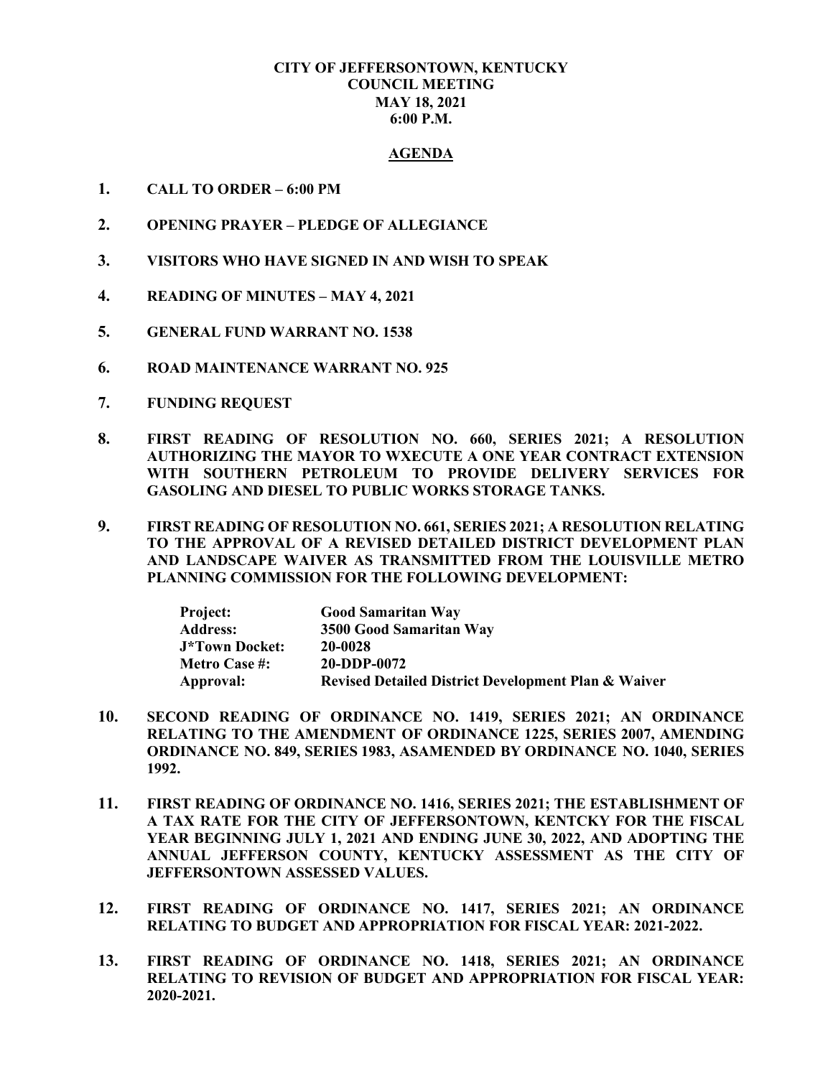## **CITY OF JEFFERSONTOWN, KENTUCKY COUNCIL MEETING MAY 18, 2021 6:00 P.M.**

## **AGENDA**

- **1. CALL TO ORDER – 6:00 PM**
- **2. OPENING PRAYER – PLEDGE OF ALLEGIANCE**
- **3. VISITORS WHO HAVE SIGNED IN AND WISH TO SPEAK**
- **4. READING OF MINUTES – MAY 4, 2021**
- **5. GENERAL FUND WARRANT NO. 1538**
- **6. ROAD MAINTENANCE WARRANT NO. 925**
- **7. FUNDING REQUEST**
- **8. FIRST READING OF RESOLUTION NO. 660, SERIES 2021; A RESOLUTION AUTHORIZING THE MAYOR TO WXECUTE A ONE YEAR CONTRACT EXTENSION WITH SOUTHERN PETROLEUM TO PROVIDE DELIVERY SERVICES FOR GASOLING AND DIESEL TO PUBLIC WORKS STORAGE TANKS.**
- **9. FIRST READING OF RESOLUTION NO. 661, SERIES 2021; A RESOLUTION RELATING TO THE APPROVAL OF A REVISED DETAILED DISTRICT DEVELOPMENT PLAN AND LANDSCAPE WAIVER AS TRANSMITTED FROM THE LOUISVILLE METRO PLANNING COMMISSION FOR THE FOLLOWING DEVELOPMENT:**

| <b>Project:</b>       | <b>Good Samaritan Way</b>                                      |
|-----------------------|----------------------------------------------------------------|
| <b>Address:</b>       | 3500 Good Samaritan Way                                        |
| <b>J*Town Docket:</b> | 20-0028                                                        |
| <b>Metro Case #:</b>  | 20-DDP-0072                                                    |
| Approval:             | <b>Revised Detailed District Development Plan &amp; Waiver</b> |

- **10. SECOND READING OF ORDINANCE NO. 1419, SERIES 2021; AN ORDINANCE RELATING TO THE AMENDMENT OF ORDINANCE 1225, SERIES 2007, AMENDING ORDINANCE NO. 849, SERIES 1983, ASAMENDED BY ORDINANCE NO. 1040, SERIES 1992.**
- **11. FIRST READING OF ORDINANCE NO. 1416, SERIES 2021; THE ESTABLISHMENT OF A TAX RATE FOR THE CITY OF JEFFERSONTOWN, KENTCKY FOR THE FISCAL YEAR BEGINNING JULY 1, 2021 AND ENDING JUNE 30, 2022, AND ADOPTING THE ANNUAL JEFFERSON COUNTY, KENTUCKY ASSESSMENT AS THE CITY OF JEFFERSONTOWN ASSESSED VALUES.**
- **12. FIRST READING OF ORDINANCE NO. 1417, SERIES 2021; AN ORDINANCE RELATING TO BUDGET AND APPROPRIATION FOR FISCAL YEAR: 2021-2022.**
- **13. FIRST READING OF ORDINANCE NO. 1418, SERIES 2021; AN ORDINANCE RELATING TO REVISION OF BUDGET AND APPROPRIATION FOR FISCAL YEAR: 2020-2021.**